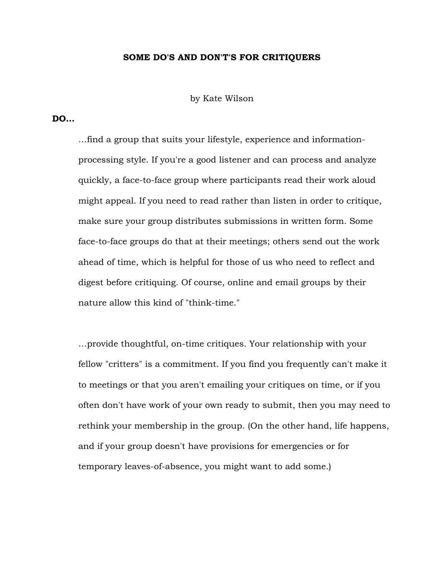## SOME DO'S AND DON'T'S FOR CRITIQUERS

by Kate Wilson

## DO…

…find a group that suits your lifestyle, experience and informationprocessing style. If you're a good listener and can process and analyze quickly, a face-to-face group where participants read their work aloud might appeal. If you need to read rather than listen in order to critique, make sure your group distributes submissions in written form. Some face-to-face groups do that at their meetings; others send out the work ahead of time, which is helpful for those of us who need to reflect and digest before critiquing. Of course, online and email groups by their nature allow this kind of "think-time."

…provide thoughtful, on-time critiques. Your relationship with your fellow "critters" is a commitment. If you find you frequently can't make it to meetings or that you aren't emailing your critiques on time, or if you often don't have work of your own ready to submit, then you may need to rethink your membership in the group. (On the other hand, life happens, and if your group doesn't have provisions for emergencies or for temporary leaves-of-absence, you might want to add some.)